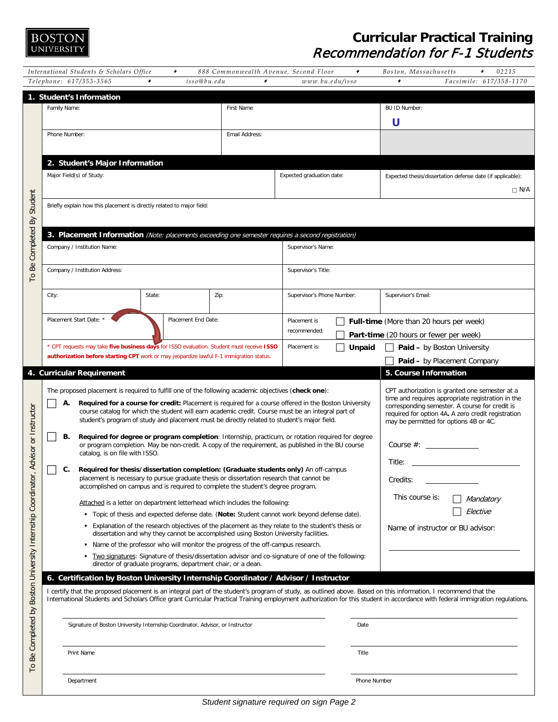

## **Curricular Practical Training** Recommendation for F-1 Students

|                                                            | International Students & Scholars Office                                                                                                          | ٠      | 888 Commonwealth Avenue, Second Floor                                                                                                                                                                                                                               | ۰                                                                                                                                                                                                                                                                                                                                                                                                                      | Boston, Massachusetts<br>02215<br>۰                                                                                                                                                                                                                                                                                                             |  |
|------------------------------------------------------------|---------------------------------------------------------------------------------------------------------------------------------------------------|--------|---------------------------------------------------------------------------------------------------------------------------------------------------------------------------------------------------------------------------------------------------------------------|------------------------------------------------------------------------------------------------------------------------------------------------------------------------------------------------------------------------------------------------------------------------------------------------------------------------------------------------------------------------------------------------------------------------|-------------------------------------------------------------------------------------------------------------------------------------------------------------------------------------------------------------------------------------------------------------------------------------------------------------------------------------------------|--|
|                                                            | Telephone: 617/353-3565                                                                                                                           | ۰      | $\bullet$<br>isso@bu.edu                                                                                                                                                                                                                                            | www.bu.edu/isso                                                                                                                                                                                                                                                                                                                                                                                                        | $\bullet$<br>Facsimile: 617/358-1170                                                                                                                                                                                                                                                                                                            |  |
|                                                            | 1. Student's Information<br>Family Name:                                                                                                          |        | First Name                                                                                                                                                                                                                                                          |                                                                                                                                                                                                                                                                                                                                                                                                                        | BU ID Number:                                                                                                                                                                                                                                                                                                                                   |  |
|                                                            |                                                                                                                                                   |        |                                                                                                                                                                                                                                                                     |                                                                                                                                                                                                                                                                                                                                                                                                                        | U                                                                                                                                                                                                                                                                                                                                               |  |
|                                                            | Phone Number:<br>Email Address:                                                                                                                   |        |                                                                                                                                                                                                                                                                     |                                                                                                                                                                                                                                                                                                                                                                                                                        |                                                                                                                                                                                                                                                                                                                                                 |  |
|                                                            |                                                                                                                                                   |        |                                                                                                                                                                                                                                                                     |                                                                                                                                                                                                                                                                                                                                                                                                                        |                                                                                                                                                                                                                                                                                                                                                 |  |
|                                                            | 2. Student's Major Information                                                                                                                    |        |                                                                                                                                                                                                                                                                     |                                                                                                                                                                                                                                                                                                                                                                                                                        |                                                                                                                                                                                                                                                                                                                                                 |  |
|                                                            | Major Field(s) of Study:                                                                                                                          |        |                                                                                                                                                                                                                                                                     | Expected graduation date:                                                                                                                                                                                                                                                                                                                                                                                              | Expected thesis/dissertation defense date (if applicable):                                                                                                                                                                                                                                                                                      |  |
|                                                            |                                                                                                                                                   |        |                                                                                                                                                                                                                                                                     |                                                                                                                                                                                                                                                                                                                                                                                                                        | $\Box$ N/A                                                                                                                                                                                                                                                                                                                                      |  |
|                                                            |                                                                                                                                                   |        |                                                                                                                                                                                                                                                                     |                                                                                                                                                                                                                                                                                                                                                                                                                        |                                                                                                                                                                                                                                                                                                                                                 |  |
| To Be Completed By Student                                 | Briefly explain how this placement is directly related to major field:                                                                            |        |                                                                                                                                                                                                                                                                     |                                                                                                                                                                                                                                                                                                                                                                                                                        |                                                                                                                                                                                                                                                                                                                                                 |  |
|                                                            | 3. Placement Information (Note: placements exceeding one semester requires a second registration)                                                 |        |                                                                                                                                                                                                                                                                     |                                                                                                                                                                                                                                                                                                                                                                                                                        |                                                                                                                                                                                                                                                                                                                                                 |  |
|                                                            | Company / Institution Name:                                                                                                                       |        |                                                                                                                                                                                                                                                                     | Supervisor's Name:                                                                                                                                                                                                                                                                                                                                                                                                     |                                                                                                                                                                                                                                                                                                                                                 |  |
|                                                            |                                                                                                                                                   |        |                                                                                                                                                                                                                                                                     |                                                                                                                                                                                                                                                                                                                                                                                                                        |                                                                                                                                                                                                                                                                                                                                                 |  |
|                                                            | Company / Institution Address:                                                                                                                    |        |                                                                                                                                                                                                                                                                     | Supervisor's Title:                                                                                                                                                                                                                                                                                                                                                                                                    |                                                                                                                                                                                                                                                                                                                                                 |  |
|                                                            |                                                                                                                                                   |        |                                                                                                                                                                                                                                                                     |                                                                                                                                                                                                                                                                                                                                                                                                                        |                                                                                                                                                                                                                                                                                                                                                 |  |
|                                                            | City:                                                                                                                                             | State: | Zip:                                                                                                                                                                                                                                                                | Supervisor's Phone Number:                                                                                                                                                                                                                                                                                                                                                                                             | Supervisor's Email:                                                                                                                                                                                                                                                                                                                             |  |
|                                                            |                                                                                                                                                   |        |                                                                                                                                                                                                                                                                     |                                                                                                                                                                                                                                                                                                                                                                                                                        |                                                                                                                                                                                                                                                                                                                                                 |  |
|                                                            | Placement Start Date:<br>Placement End Date:                                                                                                      |        |                                                                                                                                                                                                                                                                     | Placement is                                                                                                                                                                                                                                                                                                                                                                                                           | Full-time (More than 20 hours per week)                                                                                                                                                                                                                                                                                                         |  |
|                                                            |                                                                                                                                                   |        |                                                                                                                                                                                                                                                                     | recommended:                                                                                                                                                                                                                                                                                                                                                                                                           | Part-time (20 hours or fewer per week)                                                                                                                                                                                                                                                                                                          |  |
|                                                            | * CPT requests may take five business days for ISSO evaluation. Student must receive ISSO                                                         |        |                                                                                                                                                                                                                                                                     | Placement is:<br>Unpaid                                                                                                                                                                                                                                                                                                                                                                                                | Paid - by Boston University                                                                                                                                                                                                                                                                                                                     |  |
|                                                            | authorization before starting CPT work or may jeopardize lawful F-1 immigration status.                                                           |        |                                                                                                                                                                                                                                                                     |                                                                                                                                                                                                                                                                                                                                                                                                                        | Paid - by Placement Company                                                                                                                                                                                                                                                                                                                     |  |
|                                                            |                                                                                                                                                   |        |                                                                                                                                                                                                                                                                     |                                                                                                                                                                                                                                                                                                                                                                                                                        |                                                                                                                                                                                                                                                                                                                                                 |  |
|                                                            | 4. Curricular Requirement                                                                                                                         |        |                                                                                                                                                                                                                                                                     |                                                                                                                                                                                                                                                                                                                                                                                                                        | 5. Course Information                                                                                                                                                                                                                                                                                                                           |  |
|                                                            | The proposed placement is required to fulfill one of the following academic objectives (check one):<br>А.<br>В.<br>catalog, is on file with ISSO. |        | student's program of study and placement must be directly related to student's major field.                                                                                                                                                                         | Required for a course for credit: Placement is required for a course offered in the Boston University<br>course catalog for which the student will earn academic credit. Course must be an integral part of<br>Required for degree or program completion: Internship, practicum, or rotation required for degree<br>or program completion. May be non-credit. A copy of the requirement, as published in the BU course | CPT authorization is granted one semester at a<br>time and requires appropriate registration in the<br>corresponding semester. A course for credit is<br>required for option 4A. A zero credit registration<br>may be permitted for options 4B or 4C.<br>Course $#$ :                                                                           |  |
| Advisor or Instructor                                      | C.                                                                                                                                                |        | Required for thesis/dissertation completion: (Graduate students only) An off-campus<br>placement is necessary to pursue graduate thesis or dissertation research that cannot be<br>accomplished on campus and is required to complete the student's degree program. |                                                                                                                                                                                                                                                                                                                                                                                                                        | Title:<br>Credits:                                                                                                                                                                                                                                                                                                                              |  |
|                                                            |                                                                                                                                                   |        |                                                                                                                                                                                                                                                                     |                                                                                                                                                                                                                                                                                                                                                                                                                        | This course is:<br>Mandatory                                                                                                                                                                                                                                                                                                                    |  |
|                                                            |                                                                                                                                                   |        | Attached is a letter on department letterhead which includes the following:                                                                                                                                                                                         |                                                                                                                                                                                                                                                                                                                                                                                                                        | Elective                                                                                                                                                                                                                                                                                                                                        |  |
|                                                            |                                                                                                                                                   |        |                                                                                                                                                                                                                                                                     | Topic of thesis and expected defense date. (Note: Student cannot work beyond defense date).<br>. Explanation of the research objectives of the placement as they relate to the student's thesis or                                                                                                                                                                                                                     |                                                                                                                                                                                                                                                                                                                                                 |  |
|                                                            |                                                                                                                                                   |        | dissertation and why they cannot be accomplished using Boston University facilities.                                                                                                                                                                                |                                                                                                                                                                                                                                                                                                                                                                                                                        | Name of instructor or BU advisor:                                                                                                                                                                                                                                                                                                               |  |
|                                                            |                                                                                                                                                   |        | . Name of the professor who will monitor the progress of the off-campus research.                                                                                                                                                                                   |                                                                                                                                                                                                                                                                                                                                                                                                                        |                                                                                                                                                                                                                                                                                                                                                 |  |
|                                                            |                                                                                                                                                   |        | director of graduate programs, department chair, or a dean.                                                                                                                                                                                                         | Two signatures: Signature of thesis/dissertation advisor and co-signature of one of the following:                                                                                                                                                                                                                                                                                                                     |                                                                                                                                                                                                                                                                                                                                                 |  |
|                                                            |                                                                                                                                                   |        |                                                                                                                                                                                                                                                                     |                                                                                                                                                                                                                                                                                                                                                                                                                        |                                                                                                                                                                                                                                                                                                                                                 |  |
| Boston University Internship Coordinator<br>$\overline{a}$ | 6. Certification by Boston University Internship Coordinator / Advisor / Instructor                                                               |        |                                                                                                                                                                                                                                                                     |                                                                                                                                                                                                                                                                                                                                                                                                                        | I certify that the proposed placement is an integral part of the student's program of study, as outlined above. Based on this information, I recommend that the<br>International Students and Scholars Office grant Curricular Practical Training employment authorization for this student in accordance with federal immigration regulations. |  |
|                                                            | Signature of Boston University Internship Coordinator, Advisor, or Instructor                                                                     |        |                                                                                                                                                                                                                                                                     | Date                                                                                                                                                                                                                                                                                                                                                                                                                   |                                                                                                                                                                                                                                                                                                                                                 |  |
| Be Completed<br>Гo                                         | Print Name                                                                                                                                        |        |                                                                                                                                                                                                                                                                     | Title                                                                                                                                                                                                                                                                                                                                                                                                                  |                                                                                                                                                                                                                                                                                                                                                 |  |